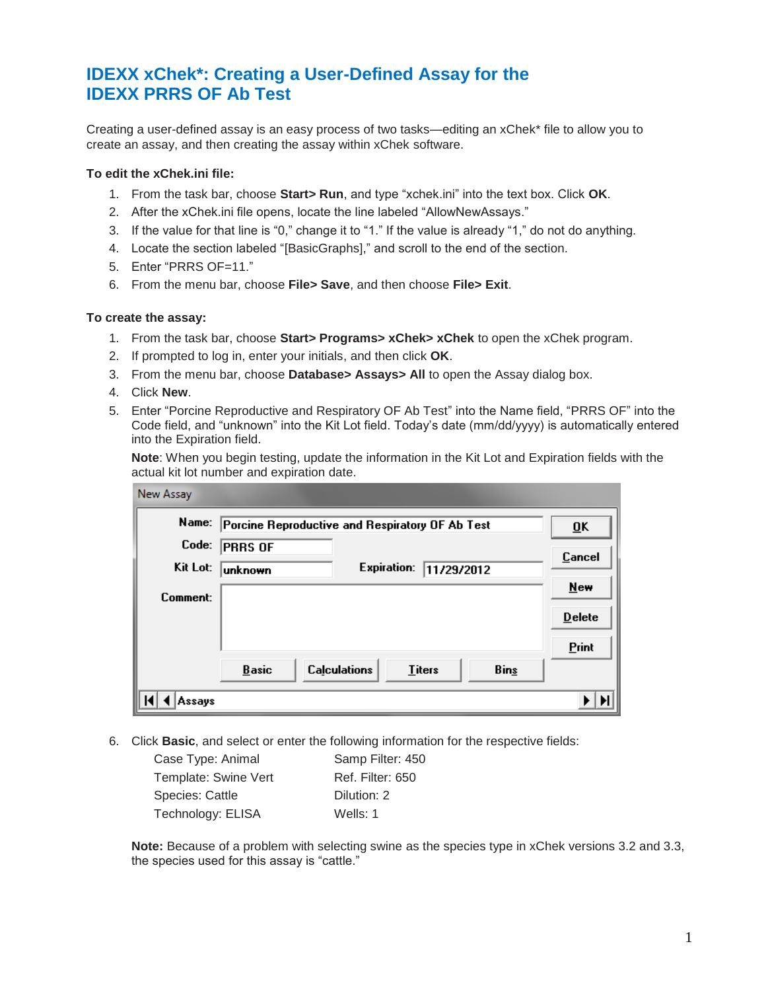# **IDEXX xChek\*: Creating a User-Defined Assay for the IDEXX PRRS OF Ab Test**

Creating a user-defined assay is an easy process of two tasks—editing an xChek\* file to allow you to create an assay, and then creating the assay within xChek software.

### **To edit the xChek.ini file:**

- 1. From the task bar, choose **Start> Run**, and type "xchek.ini" into the text box. Click **OK**.
- 2. After the xChek.ini file opens, locate the line labeled "AllowNewAssays."
- 3. If the value for that line is "0," change it to "1." If the value is already "1," do not do anything.
- 4. Locate the section labeled "[BasicGraphs]," and scroll to the end of the section.
- 5. Enter "PRRS OF=11."
- 6. From the menu bar, choose **File> Save**, and then choose **File> Exit**.

#### **To create the assay:**

- 1. From the task bar, choose **Start> Programs> xChek> xChek** to open the xChek program.
- 2. If prompted to log in, enter your initials, and then click **OK**.
- 3. From the menu bar, choose **Database> Assays> All** to open the Assay dialog box.
- 4. Click **New**.
- 5. Enter "Porcine Reproductive and Respiratory OF Ab Test" into the Name field, "PRRS OF" into the Code field, and "unknown" into the Kit Lot field. Today's date (mm/dd/yyyy) is automatically entered into the Expiration field.

**Note**: When you begin testing, update the information in the Kit Lot and Expiration fields with the actual kit lot number and expiration date.

| <b>New Assay</b> |                                                       |                 |
|------------------|-------------------------------------------------------|-----------------|
| Name:            | Porcine Reproductive and Respiratory OF Ab Test       | $\overline{0}K$ |
| Code:            | PRRS OF                                               | Cancel          |
| Kit Lot:         | <b>Expiration:</b><br>11/29/2012<br>lunknown          |                 |
| Comment:         |                                                       | <b>New</b>      |
|                  |                                                       | <b>Delete</b>   |
|                  |                                                       | Print           |
|                  | <b>Calculations</b><br>Bins<br><b>Titers</b><br>Basic |                 |
| Assays           |                                                       |                 |

6. Click **Basic**, and select or enter the following information for the respective fields:

| Case Type: Animal    | Samp Filter: 450        |
|----------------------|-------------------------|
| Template: Swine Vert | <b>Ref. Filter: 650</b> |
| Species: Cattle      | Dilution: 2             |
| Technology: ELISA    | Wells: 1                |

**Note:** Because of a problem with selecting swine as the species type in xChek versions 3.2 and 3.3, the species used for this assay is "cattle."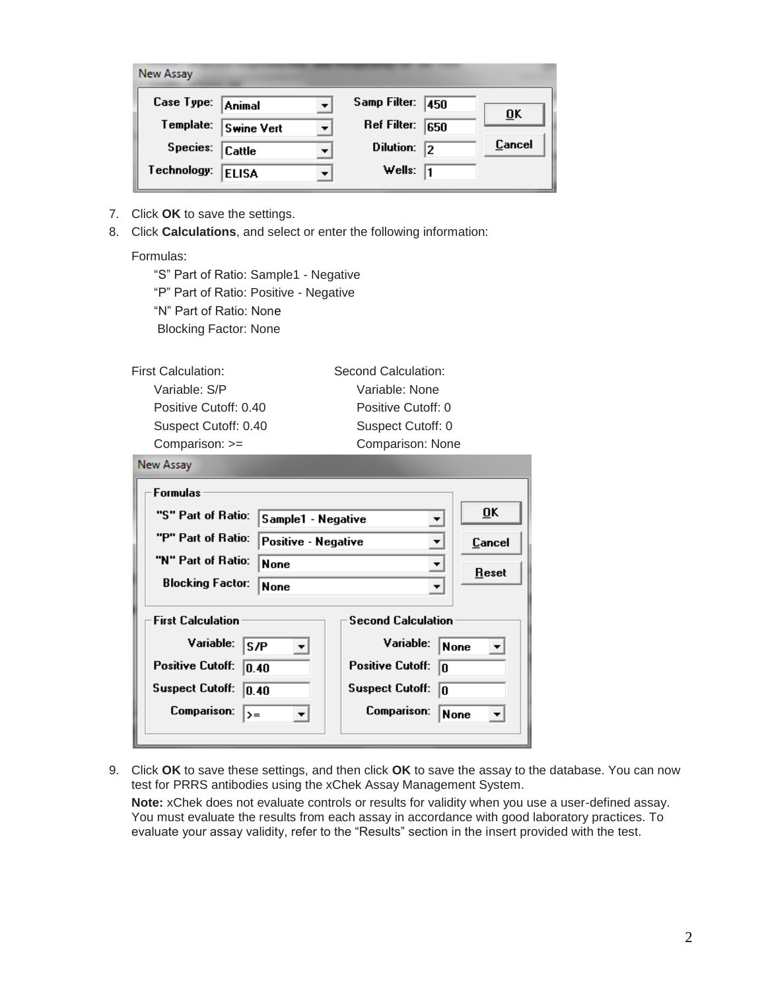| New Assay   |                   |                    |     |        |
|-------------|-------------------|--------------------|-----|--------|
| Case Type:  | Animal            | Samp Filter:       | 450 |        |
| Template:   | <b>Swine Vert</b> | <b>Ref Filter:</b> | 650 | ŪK     |
| Species:    | Cattle            | <b>Dilution:</b>   | 12  | Cancel |
| Technology: | <b>ELISA</b>      | Wells:             | I1  |        |

- 7. Click **OK** to save the settings.
- 8. Click **Calculations**, and select or enter the following information:

## Formulas:

**Contract** 

"S" Part of Ratio: Sample1 - Negative "P" Part of Ratio: Positive - Negative "N" Part of Ratio: None Blocking Factor: None

| <b>First Calculation:</b> | Second Calculation: |  |
|---------------------------|---------------------|--|
| Variable: S/P             | Variable: None      |  |
| Positive Cutoff: 0.40     | Positive Cutoff: 0  |  |
| Suspect Cutoff: 0.40      | Suspect Cutoff: 0   |  |
| Comparison: >=            | Comparison: None    |  |

| <b>Formulas</b>                                           |                           |  |
|-----------------------------------------------------------|---------------------------|--|
| "S" Part of Ratio:                                        | ŪK                        |  |
| Sample1 - Negative                                        | $\blacktriangledown$      |  |
| "P" Part of Ratio:                                        | Cancel                    |  |
| Positive - Negative                                       | $\blacktriangledown$      |  |
| "N" Part of Ratio:<br><b>None</b><br>$\blacktriangledown$ |                           |  |
| Reset<br><b>Blocking Factor:</b><br><b>None</b>           |                           |  |
| <b>First Calculation</b>                                  | <b>Second Calculation</b> |  |
| Variable:                                                 | Variable:                 |  |
| S/P                                                       | None                      |  |
| <b>Positive Cutoff:</b>                                   | <b>Positive Cutoff:</b>   |  |
| 0.40                                                      | I٥                        |  |
| <b>Suspect Cutoff:</b>                                    | <b>Suspect Cutoff:</b>    |  |
| 0.40                                                      | In                        |  |
| <b>Comparison:</b>                                        | Comparison:               |  |
| $\rangle =$                                               | None                      |  |

9. Click **OK** to save these settings, and then click **OK** to save the assay to the database. You can now test for PRRS antibodies using the xChek Assay Management System.

**Note:** xChek does not evaluate controls or results for validity when you use a user-defined assay. You must evaluate the results from each assay in accordance with good laboratory practices. To evaluate your assay validity, refer to the "Results" section in the insert provided with the test.